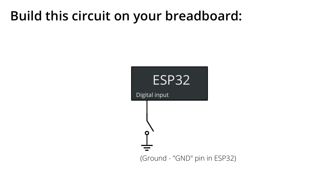### Build this circuit on your breadboard:

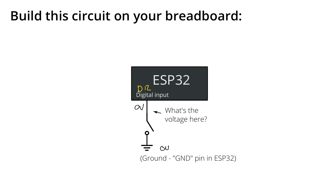### Build this circuit on your breadboard:

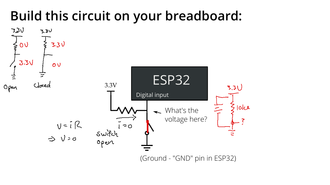### Build this circuit on your breadboard:

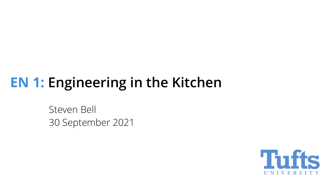# EN 1: Engineering in the Kitchen

Steven Bell 30 September 2021

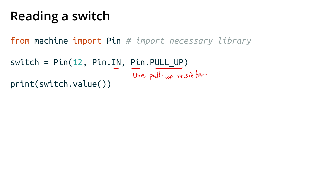## Reading a switch

from machine import Pin # import necessary library

switch = Pin(12, Pin.IN, Pin.PULL\_UP) Use pull-up resister print(switch.value())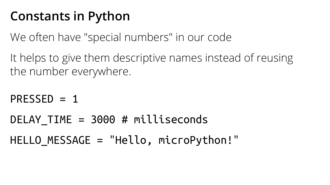### Constants in Python

We often have "special numbers" in our code

It helps to give them descriptive names instead of reusing the number everywhere.

 $PRESSED = 1$ DELAY TIME = 3000 # milliseconds HELLO\_MESSAGE = "Hello, microPython!"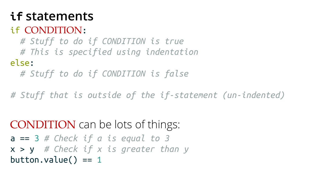### if statements

### if CONDITION:

# Stuff to do if CONDITION is true

# This is specified using indentation

#### else:

# Stuff to do if CONDITION is false

# Stuff that is outside of the if-statement (un-indented)

CONDITION can be lots of things:  $a == 3$  # Check if a is equal to 3  $x > y$  # Check if x is greater than y button.value()  $== 1$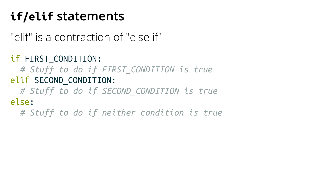### if/elif statements

"elif" is a contraction of "else if"

if FIRST\_CONDITION:

# Stuff to do if FIRST\_CONDITION is true elif SECOND\_CONDITION:

# Stuff to do if SECOND CONDITION is true else:

# Stuff to do if neither condition is true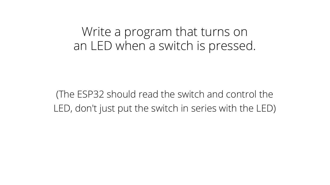Write a program that turns on an LED when a switch is pressed.

(The ESP32 should read the switch and control the LED, don't just put the switch in series with the LED)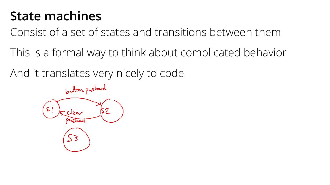### State machines

Consist of a set of states and transitions between them

This is a formal way to think about complicated behavior

And it translates very nicely to code

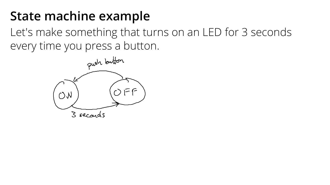### State machine example

Let's make something that turns on an LED for 3 seconds every time you press a button.

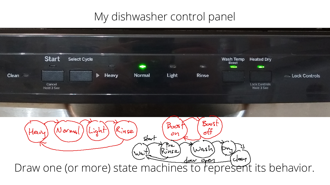### My dishwasher control panel

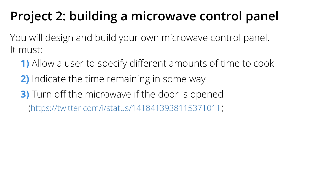## Project 2: building a microwave control panel

You will design and build your own microwave control panel. It must:

- 1) Allow a user to specify different amounts of time to cook
- 2) Indicate the time remaining in some way
- **3)** Turn off the microwave if the door is opened
	- (https://twitter.com/i/status/1418413938115371011)